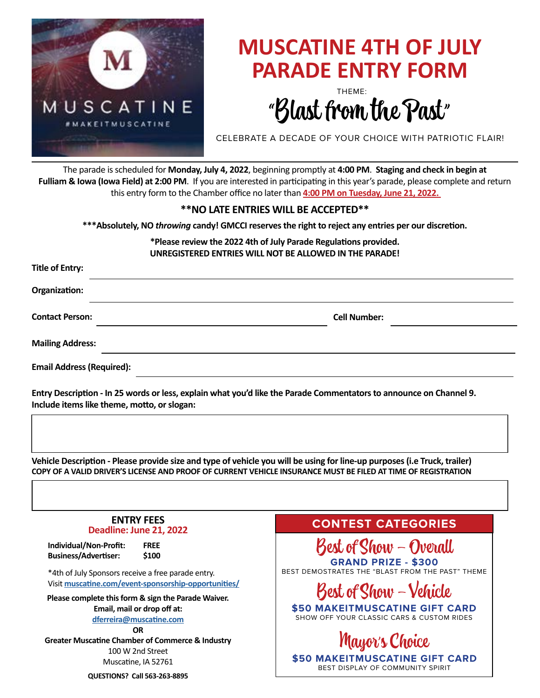

# **MUSCATINE 4TH OF JULY PARADE ENTRY FORM**

"Blast from the Past" THEME:

CELEBRATE A DECADE OF YOUR CHOICE WITH PATRIOTIC FLAIR!

The parade is scheduled for **Monday, July 4, 2022**, beginning promptly at **4:00 PM**. **Staging and check in begin at Fulliam & Iowa (Iowa Field) at 2:00 PM**. If you are interested in participating in this year's parade, please complete and return this entry form to the Chamber office no later than **4:00 PM on Tuesday, June 21, 2022.** 

#### **\*\*NO LATE ENTRIES WILL BE ACCEPTED\*\***

**\*\*\*Absolutely, NO** *throwing* **candy! GMCCI reserves the right to reject any entries per our discretion.** 

**\*Please review the 2022 4th of July Parade Regulations provided. UNREGISTERED ENTRIES WILL NOT BE ALLOWED IN THE PARADE!** 

| <b>Title of Entry:</b>           |                     |  |
|----------------------------------|---------------------|--|
| Organization:                    |                     |  |
| <b>Contact Person:</b>           | <b>Cell Number:</b> |  |
| <b>Mailing Address:</b>          |                     |  |
| <b>Email Address (Required):</b> |                     |  |
|                                  |                     |  |

**Entry Description - In 25 words or less, explain what you'd like the Parade Commentators to announce on Channel 9. Include items like theme, motto, or slogan:**

**Vehicle Description - Please provide size and type of vehicle you will be using for line-up purposes (i.e Truck, trailer) COPY OF A VALID DRIVER'S LICENSE AND PROOF OF CURRENT VEHICLE INSURANCE MUST BE FILED AT TIME OF REGISTRATION**

> **ENTRY FEES Deadline: June 21, 2022**

**Individual/Non-Profit: FREE Business/Advertiser: \$100**

\*4th of July Sponsors receive a free parade entry. Visit **[muscatine.com/event-sponsorship-opportunities/](http://muscatine.com/event-sponsorship-opportunities/)**

**Please complete this form & sign the Parade Waiver. Email, mail or drop off at: [dferreira@muscatine.com](mailto:dferreira%40muscatine.com?subject=4th%20of%20July%20Parade%20Entry%20Form)**

**OR**

**Greater Muscatine Chamber of Commerce & Industry** 100 W 2nd Street Muscatine, IA 52761

### **CONTEST CATEGORIES**

Best of Show - Overall **GRAND PRIZE - \$300** BEST DEMOSTRATES THE "BLAST FROM THE PAST" THEME

Best of Show - Vehicle **\$50 MAKEITMUSCATINE GIFT CARD** SHOW OFF YOUR CLASSIC CARS & CUSTOM RIDES

Mayor's Choice **\$50 MAKEITMUSCATINE GIFT CARD** BEST DISPLAY OF COMMUNITY SPIRIT

**QUESTIONS? Call 563-263-8895**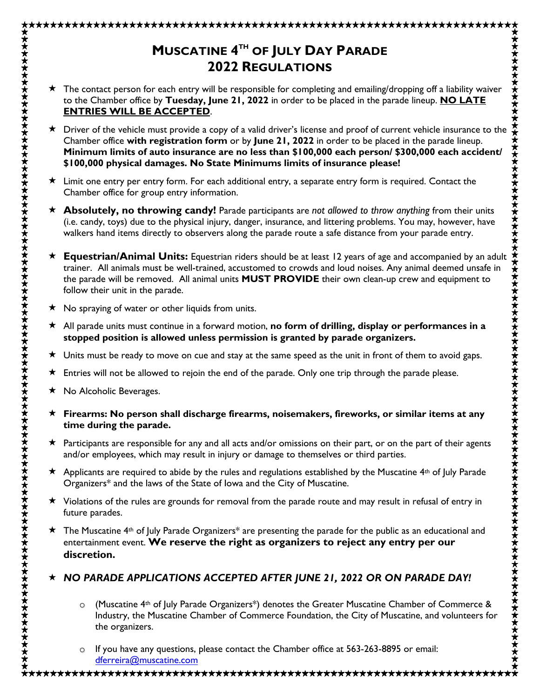## **MUSCATINE 4TH OF JULY DAY PARADE 2022 REGULATIONS**

- $\star$  The contact person for each entry will be responsible for completing and emailing/dropping off a liability waiver to the Chamber office by **Tuesday, June 21, 2022** in order to be placed in the parade lineup. **NO LATE ENTRIES WILL BE ACCEPTED**.
- **FIGURE A THE CONSULTER A THE OF JULY DAY PARADE CONSULTER THE VEHICLE THE VEHICLE THE VEHICLE THE VEHICLE THE VEHICLE THE VEHICLE THE VEHICLE THE VEHICLE THE VEHICLE THE VEHICLE THE CONSULTER CONSULTER THE CONSULTER CONS** Chamber office **with registration form** or by **June 21, 2022** in order to be placed in the parade lineup. **Minimum limits of auto insurance are no less than \$100,000 each person/ \$300,000 each accident/ \$100,000 physical damages. No State Minimums limits of insurance please!**
- $\star$  Limit one entry per entry form. For each additional entry, a separate entry form is required. Contact the Chamber office for group entry information.
- **Absolutely, no throwing candy!** Parade participants are *not allowed to throw anything* from their units (i.e. candy, toys) due to the physical injury, danger, insurance, and littering problems. You may, however, have walkers hand items directly to observers along the parade route a safe distance from your parade entry.
- **Equestrian/Animal Units:** Equestrian riders should be at least 12 years of age and accompanied by an adult trainer. All animals must be well-trained, accustomed to crowds and loud noises. Any animal deemed unsafe in the parade will be removed. All animal units **MUST PROVIDE** their own clean-up crew and equipment to follow their unit in the parade.
- $\star$  No spraying of water or other liquids from units.
- All parade units must continue in a forward motion, **no form of drilling, display or performances in a stopped position is allowed unless permission is granted by parade organizers.**
- $\star$  Units must be ready to move on cue and stay at the same speed as the unit in front of them to avoid gaps.
- $\star$  Entries will not be allowed to rejoin the end of the parade. Only one trip through the parade please.
- $\star$  No Alcoholic Beverages.

- **Firearms: No person shall discharge firearms, noisemakers, fireworks, or similar items at any time during the parade.**
- $\star$  Participants are responsible for any and all acts and/or omissions on their part, or on the part of their agents and/or employees, which may result in injury or damage to themselves or third parties.
- $\star$  Applicants are required to abide by the rules and regulations established by the Muscatine 4th of July Parade Organizers\* and the laws of the State of Iowa and the City of Muscatine.
- Violations of the rules are grounds for removal from the parade route and may result in refusal of entry in future parades.
- $\star$  The Muscatine 4<sup>th</sup> of July Parade Organizers<sup>\*</sup> are presenting the parade for the public as an educational and entertainment event. **We reserve the right as organizers to reject any entry per our discretion.**

### *NO PARADE APPLICATIONS ACCEPTED AFTER JUNE 21, 2022 OR ON PARADE DAY!*

- $\circ$  (Muscatine 4<sup>th</sup> of July Parade Organizers\*) denotes the Greater Muscatine Chamber of Commerce & Industry, the Muscatine Chamber of Commerce Foundation, the City of Muscatine, and volunteers for the organizers.
- o If you have any questions, please contact the Chamber office at 563-263-8895 or email: [dferreira@muscatine.com](mailto:dferreira@muscatine.com)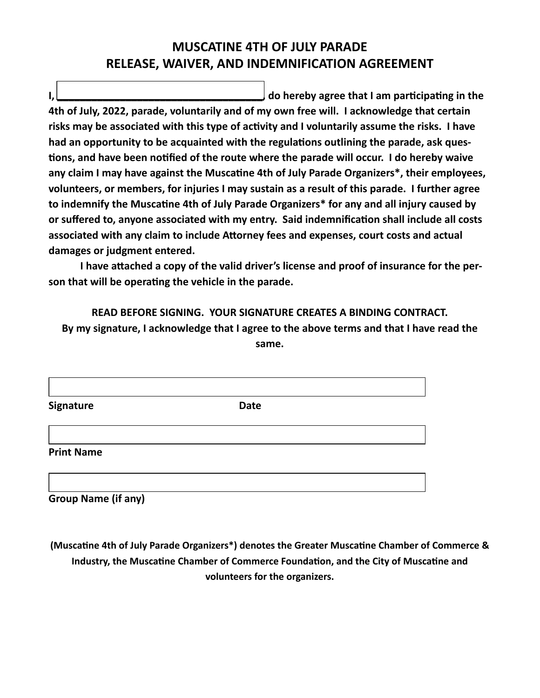### **MUSCATINE 4TH OF JULY PARADE RELEASE, WAIVER, AND INDEMNIFICATION AGREEMENT**

|                                                                                               | $\vert$ do hereby agree that I am participating in the                                         |  |  |  |  |
|-----------------------------------------------------------------------------------------------|------------------------------------------------------------------------------------------------|--|--|--|--|
| 4th of July, 2022, parade, voluntarily and of my own free will. I acknowledge that certain    |                                                                                                |  |  |  |  |
| risks may be associated with this type of activity and I voluntarily assume the risks. I have |                                                                                                |  |  |  |  |
| had an opportunity to be acquainted with the regulations outlining the parade, ask ques-      |                                                                                                |  |  |  |  |
| tions, and have been notified of the route where the parade will occur. I do hereby waive     |                                                                                                |  |  |  |  |
|                                                                                               | any claim I may have against the Muscatine 4th of July Parade Organizers*, their employees,    |  |  |  |  |
|                                                                                               | volunteers, or members, for injuries I may sustain as a result of this parade. I further agree |  |  |  |  |
|                                                                                               | to indemnify the Muscatine 4th of July Parade Organizers* for any and all injury caused by     |  |  |  |  |
|                                                                                               | or suffered to, anyone associated with my entry. Said indemnification shall include all costs  |  |  |  |  |
| associated with any claim to include Attorney fees and expenses, court costs and actual       |                                                                                                |  |  |  |  |
| damages or judgment entered.                                                                  |                                                                                                |  |  |  |  |

**I have attached a copy of the valid driver's license and proof of insurance for the person that will be operating the vehicle in the parade.**

**READ BEFORE SIGNING. YOUR SIGNATURE CREATES A BINDING CONTRACT. By my signature, I acknowledge that I agree to the above terms and that I have read the same.**

| Signature         | <b>Date</b> |  |
|-------------------|-------------|--|
|                   |             |  |
| <b>Print Name</b> |             |  |
|                   |             |  |

**(Muscatine 4th of July Parade Organizers\*) denotes the Greater Muscatine Chamber of Commerce & Industry, the Muscatine Chamber of Commerce Foundation, and the City of Muscatine and volunteers for the organizers.**